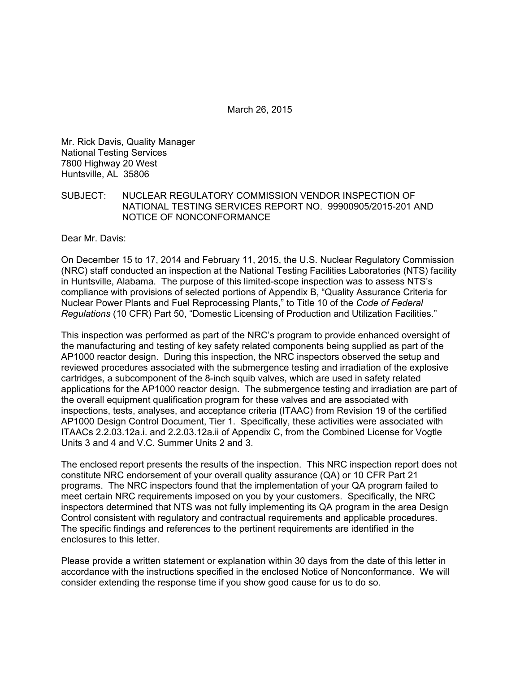March 26, 2015

Mr. Rick Davis, Quality Manager National Testing Services 7800 Highway 20 West Huntsville, AL 35806

SUBJECT: NUCLEAR REGULATORY COMMISSION VENDOR INSPECTION OF NATIONAL TESTING SERVICES REPORT NO. 99900905/2015-201 AND NOTICE OF NONCONFORMANCE

Dear Mr. Davis:

On December 15 to 17, 2014 and February 11, 2015, the U.S. Nuclear Regulatory Commission (NRC) staff conducted an inspection at the National Testing Facilities Laboratories (NTS) facility in Huntsville, Alabama. The purpose of this limited-scope inspection was to assess NTS's compliance with provisions of selected portions of Appendix B, "Quality Assurance Criteria for Nuclear Power Plants and Fuel Reprocessing Plants," to Title 10 of the *Code of Federal Regulations* (10 CFR) Part 50, "Domestic Licensing of Production and Utilization Facilities."

This inspection was performed as part of the NRC's program to provide enhanced oversight of the manufacturing and testing of key safety related components being supplied as part of the AP1000 reactor design. During this inspection, the NRC inspectors observed the setup and reviewed procedures associated with the submergence testing and irradiation of the explosive cartridges, a subcomponent of the 8-inch squib valves, which are used in safety related applications for the AP1000 reactor design. The submergence testing and irradiation are part of the overall equipment qualification program for these valves and are associated with inspections, tests, analyses, and acceptance criteria (ITAAC) from Revision 19 of the certified AP1000 Design Control Document, Tier 1. Specifically, these activities were associated with ITAACs 2.2.03.12a.i. and 2.2.03.12a.ii of Appendix C, from the Combined License for Vogtle Units 3 and 4 and V.C. Summer Units 2 and 3.

The enclosed report presents the results of the inspection. This NRC inspection report does not constitute NRC endorsement of your overall quality assurance (QA) or 10 CFR Part 21 programs. The NRC inspectors found that the implementation of your QA program failed to meet certain NRC requirements imposed on you by your customers. Specifically, the NRC inspectors determined that NTS was not fully implementing its QA program in the area Design Control consistent with regulatory and contractual requirements and applicable procedures. The specific findings and references to the pertinent requirements are identified in the enclosures to this letter.

Please provide a written statement or explanation within 30 days from the date of this letter in accordance with the instructions specified in the enclosed Notice of Nonconformance. We will consider extending the response time if you show good cause for us to do so.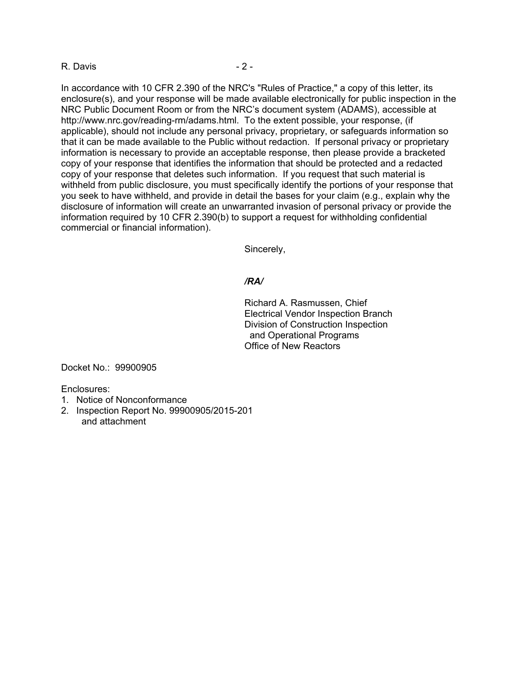#### R. Davis - 2 -

In accordance with 10 CFR 2.390 of the NRC's "Rules of Practice," a copy of this letter, its enclosure(s), and your response will be made available electronically for public inspection in the NRC Public Document Room or from the NRC's document system (ADAMS), accessible at http://www.nrc.gov/reading-rm/adams.html. To the extent possible, your response, (if applicable), should not include any personal privacy, proprietary, or safeguards information so that it can be made available to the Public without redaction. If personal privacy or proprietary information is necessary to provide an acceptable response, then please provide a bracketed copy of your response that identifies the information that should be protected and a redacted copy of your response that deletes such information. If you request that such material is withheld from public disclosure, you must specifically identify the portions of your response that you seek to have withheld, and provide in detail the bases for your claim (e.g., explain why the disclosure of information will create an unwarranted invasion of personal privacy or provide the information required by 10 CFR 2.390(b) to support a request for withholding confidential commercial or financial information).

Sincerely,

#### */RA/*

Richard A. Rasmussen, Chief Electrical Vendor Inspection Branch Division of Construction Inspection and Operational Programs Office of New Reactors

Docket No.: 99900905

Enclosures:

- 1. Notice of Nonconformance
- 2. Inspection Report No. 99900905/2015-201 and attachment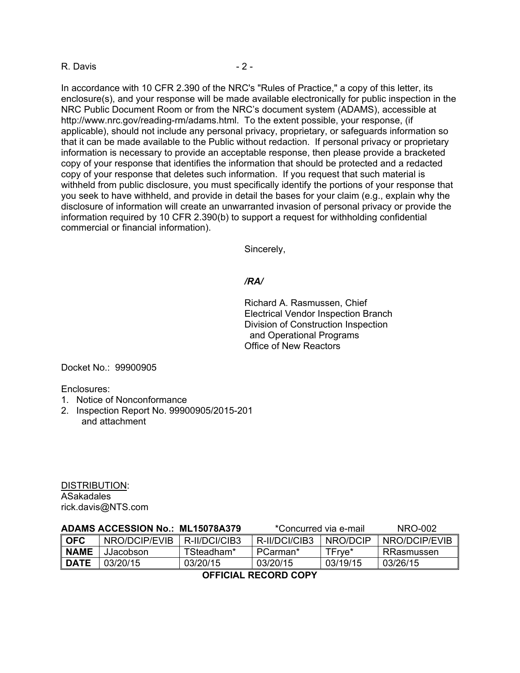#### R. Davis - 2 -

In accordance with 10 CFR 2.390 of the NRC's "Rules of Practice," a copy of this letter, its enclosure(s), and your response will be made available electronically for public inspection in the NRC Public Document Room or from the NRC's document system (ADAMS), accessible at http://www.nrc.gov/reading-rm/adams.html. To the extent possible, your response, (if applicable), should not include any personal privacy, proprietary, or safeguards information so that it can be made available to the Public without redaction. If personal privacy or proprietary information is necessary to provide an acceptable response, then please provide a bracketed copy of your response that identifies the information that should be protected and a redacted copy of your response that deletes such information. If you request that such material is withheld from public disclosure, you must specifically identify the portions of your response that you seek to have withheld, and provide in detail the bases for your claim (e.g., explain why the disclosure of information will create an unwarranted invasion of personal privacy or provide the information required by 10 CFR 2.390(b) to support a request for withholding confidential commercial or financial information).

Sincerely,

#### */RA/*

Richard A. Rasmussen, Chief Electrical Vendor Inspection Branch Division of Construction Inspection and Operational Programs Office of New Reactors

Docket No.: 99900905

Enclosures:

- 1. Notice of Nonconformance
- 2. Inspection Report No. 99900905/2015-201 and attachment

DISTRIBUTION: ASakadales rick.davis@NTS.com

| ADAMS ACCESSION No.: ML15078A379 |               |               | *Concurred via e-mail |          | NRO-002       |
|----------------------------------|---------------|---------------|-----------------------|----------|---------------|
| <b>OFC</b>                       | NRO/DCIP/EVIB | R-II/DCI/CIB3 | R-II/DCI/CIB3         | NRO/DCIP | NRO/DCIP/EVIB |
| <b>NAME</b>                      | JJacobson.    | TSteadham*    | PCarman*              | TFrve*   | RRasmussen    |
| <b>DATE</b>                      | 03/20/15      | 03/20/15      | 03/20/15              | 03/19/15 | 03/26/15      |
|                                  |               |               |                       |          |               |

**OFFICIAL RECORD COPY**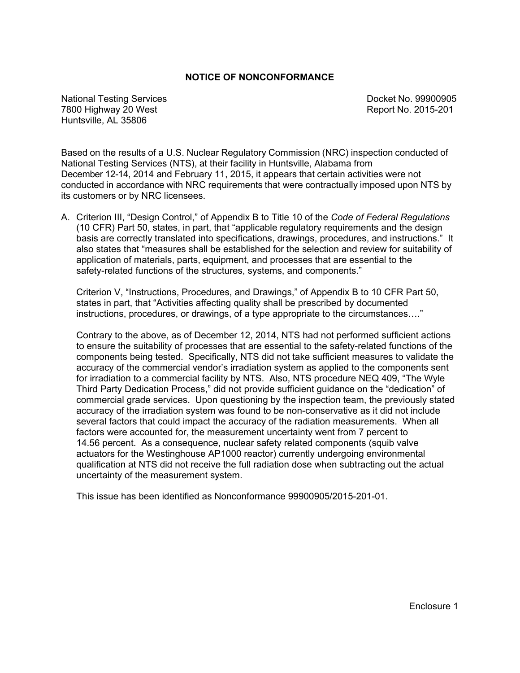#### **NOTICE OF NONCONFORMANCE**

National Testing Services **Docket No. 99900905 Docket No. 99900905** 7800 Highway 20 West Report No. 2015-201 Huntsville, AL 35806

Based on the results of a U.S. Nuclear Regulatory Commission (NRC) inspection conducted of National Testing Services (NTS), at their facility in Huntsville, Alabama from December 12-14, 2014 and February 11, 2015, it appears that certain activities were not conducted in accordance with NRC requirements that were contractually imposed upon NTS by its customers or by NRC licensees.

A. Criterion III, "Design Control," of Appendix B to Title 10 of the *Code of Federal Regulations*  (10 CFR) Part 50, states, in part, that "applicable regulatory requirements and the design basis are correctly translated into specifications, drawings, procedures, and instructions." It also states that "measures shall be established for the selection and review for suitability of application of materials, parts, equipment, and processes that are essential to the safety-related functions of the structures, systems, and components."

Criterion V, "Instructions, Procedures, and Drawings," of Appendix B to 10 CFR Part 50, states in part, that "Activities affecting quality shall be prescribed by documented instructions, procedures, or drawings, of a type appropriate to the circumstances…."

Contrary to the above, as of December 12, 2014, NTS had not performed sufficient actions to ensure the suitability of processes that are essential to the safety-related functions of the components being tested. Specifically, NTS did not take sufficient measures to validate the accuracy of the commercial vendor's irradiation system as applied to the components sent for irradiation to a commercial facility by NTS. Also, NTS procedure NEQ 409, "The Wyle Third Party Dedication Process," did not provide sufficient guidance on the "dedication" of commercial grade services. Upon questioning by the inspection team, the previously stated accuracy of the irradiation system was found to be non-conservative as it did not include several factors that could impact the accuracy of the radiation measurements. When all factors were accounted for, the measurement uncertainty went from 7 percent to 14.56 percent. As a consequence, nuclear safety related components (squib valve actuators for the Westinghouse AP1000 reactor) currently undergoing environmental qualification at NTS did not receive the full radiation dose when subtracting out the actual uncertainty of the measurement system.

This issue has been identified as Nonconformance 99900905/2015-201-01.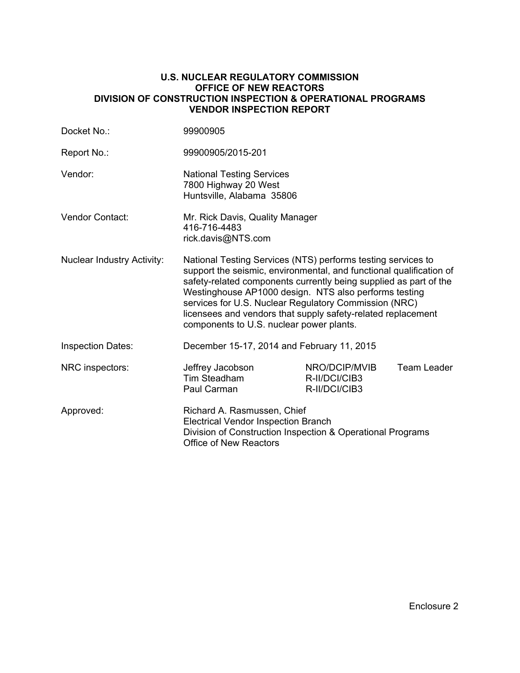#### **U.S. NUCLEAR REGULATORY COMMISSION OFFICE OF NEW REACTORS DIVISION OF CONSTRUCTION INSPECTION & OPERATIONAL PROGRAMS VENDOR INSPECTION REPORT**

| Docket No.:                       | 99900905                                                                                                                                                                                                                                                                                                                                                                                                                               |                                                 |             |  |
|-----------------------------------|----------------------------------------------------------------------------------------------------------------------------------------------------------------------------------------------------------------------------------------------------------------------------------------------------------------------------------------------------------------------------------------------------------------------------------------|-------------------------------------------------|-------------|--|
| Report No.:                       | 99900905/2015-201                                                                                                                                                                                                                                                                                                                                                                                                                      |                                                 |             |  |
| Vendor:                           | <b>National Testing Services</b><br>7800 Highway 20 West<br>Huntsville, Alabama 35806                                                                                                                                                                                                                                                                                                                                                  |                                                 |             |  |
| <b>Vendor Contact:</b>            | Mr. Rick Davis, Quality Manager<br>416-716-4483<br>rick.davis@NTS.com                                                                                                                                                                                                                                                                                                                                                                  |                                                 |             |  |
| <b>Nuclear Industry Activity:</b> | National Testing Services (NTS) performs testing services to<br>support the seismic, environmental, and functional qualification of<br>safety-related components currently being supplied as part of the<br>Westinghouse AP1000 design. NTS also performs testing<br>services for U.S. Nuclear Regulatory Commission (NRC)<br>licensees and vendors that supply safety-related replacement<br>components to U.S. nuclear power plants. |                                                 |             |  |
| <b>Inspection Dates:</b>          | December 15-17, 2014 and February 11, 2015                                                                                                                                                                                                                                                                                                                                                                                             |                                                 |             |  |
| NRC inspectors:                   | Jeffrey Jacobson<br>Tim Steadham<br>Paul Carman                                                                                                                                                                                                                                                                                                                                                                                        | NRO/DCIP/MVIB<br>R-II/DCI/CIB3<br>R-II/DCI/CIB3 | Team Leader |  |
| Approved:                         | Richard A. Rasmussen, Chief<br><b>Electrical Vendor Inspection Branch</b><br>Division of Construction Inspection & Operational Programs<br><b>Office of New Reactors</b>                                                                                                                                                                                                                                                               |                                                 |             |  |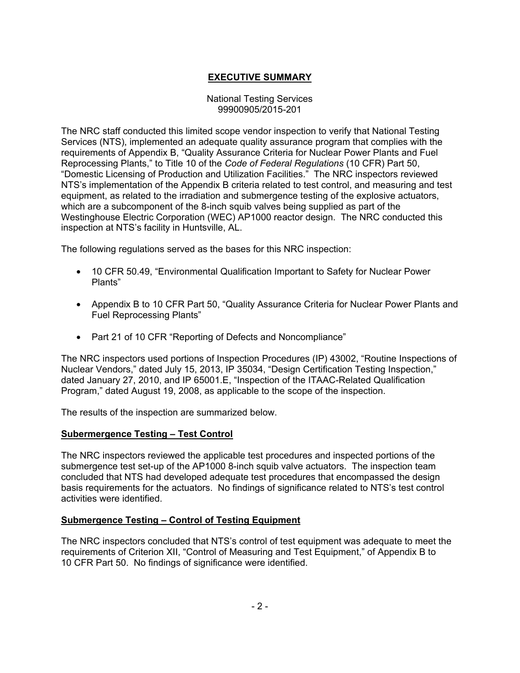# **EXECUTIVE SUMMARY**

#### National Testing Services 99900905/2015-201

The NRC staff conducted this limited scope vendor inspection to verify that National Testing Services (NTS), implemented an adequate quality assurance program that complies with the requirements of Appendix B, "Quality Assurance Criteria for Nuclear Power Plants and Fuel Reprocessing Plants," to Title 10 of the *Code of Federal Regulations* (10 CFR) Part 50, "Domestic Licensing of Production and Utilization Facilities." The NRC inspectors reviewed NTS's implementation of the Appendix B criteria related to test control, and measuring and test equipment, as related to the irradiation and submergence testing of the explosive actuators, which are a subcomponent of the 8-inch squib valves being supplied as part of the Westinghouse Electric Corporation (WEC) AP1000 reactor design. The NRC conducted this inspection at NTS's facility in Huntsville, AL.

The following regulations served as the bases for this NRC inspection:

- 10 CFR 50.49, "Environmental Qualification Important to Safety for Nuclear Power Plants"
- Appendix B to 10 CFR Part 50, "Quality Assurance Criteria for Nuclear Power Plants and Fuel Reprocessing Plants"
- Part 21 of 10 CFR "Reporting of Defects and Noncompliance"

The NRC inspectors used portions of Inspection Procedures (IP) 43002, "Routine Inspections of Nuclear Vendors," dated July 15, 2013, IP 35034, "Design Certification Testing Inspection," dated January 27, 2010, and IP 65001.E, "Inspection of the ITAAC-Related Qualification Program," dated August 19, 2008, as applicable to the scope of the inspection.

The results of the inspection are summarized below.

### **Subermergence Testing – Test Control**

The NRC inspectors reviewed the applicable test procedures and inspected portions of the submergence test set-up of the AP1000 8-inch squib valve actuators. The inspection team concluded that NTS had developed adequate test procedures that encompassed the design basis requirements for the actuators. No findings of significance related to NTS's test control activities were identified.

### **Submergence Testing – Control of Testing Equipment**

The NRC inspectors concluded that NTS's control of test equipment was adequate to meet the requirements of Criterion XII, "Control of Measuring and Test Equipment," of Appendix B to 10 CFR Part 50. No findings of significance were identified.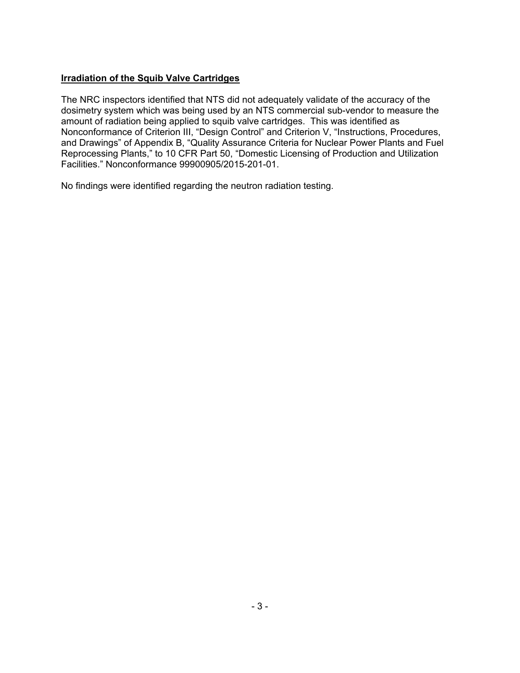### **Irradiation of the Squib Valve Cartridges**

The NRC inspectors identified that NTS did not adequately validate of the accuracy of the dosimetry system which was being used by an NTS commercial sub-vendor to measure the amount of radiation being applied to squib valve cartridges. This was identified as Nonconformance of Criterion III, "Design Control" and Criterion V, "Instructions, Procedures, and Drawings" of Appendix B, "Quality Assurance Criteria for Nuclear Power Plants and Fuel Reprocessing Plants," to 10 CFR Part 50, "Domestic Licensing of Production and Utilization Facilities." Nonconformance 99900905/2015-201-01.

No findings were identified regarding the neutron radiation testing.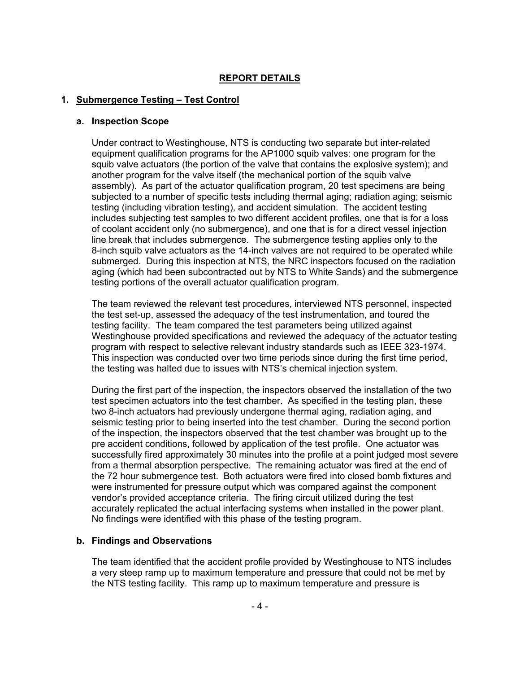## **REPORT DETAILS**

### **1. Submergence Testing – Test Control**

#### **a. Inspection Scope**

Under contract to Westinghouse, NTS is conducting two separate but inter-related equipment qualification programs for the AP1000 squib valves: one program for the squib valve actuators (the portion of the valve that contains the explosive system); and another program for the valve itself (the mechanical portion of the squib valve assembly). As part of the actuator qualification program, 20 test specimens are being subjected to a number of specific tests including thermal aging; radiation aging; seismic testing (including vibration testing), and accident simulation. The accident testing includes subjecting test samples to two different accident profiles, one that is for a loss of coolant accident only (no submergence), and one that is for a direct vessel injection line break that includes submergence. The submergence testing applies only to the 8-inch squib valve actuators as the 14-inch valves are not required to be operated while submerged. During this inspection at NTS, the NRC inspectors focused on the radiation aging (which had been subcontracted out by NTS to White Sands) and the submergence testing portions of the overall actuator qualification program.

The team reviewed the relevant test procedures, interviewed NTS personnel, inspected the test set-up, assessed the adequacy of the test instrumentation, and toured the testing facility. The team compared the test parameters being utilized against Westinghouse provided specifications and reviewed the adequacy of the actuator testing program with respect to selective relevant industry standards such as IEEE 323-1974. This inspection was conducted over two time periods since during the first time period, the testing was halted due to issues with NTS's chemical injection system.

During the first part of the inspection, the inspectors observed the installation of the two test specimen actuators into the test chamber. As specified in the testing plan, these two 8-inch actuators had previously undergone thermal aging, radiation aging, and seismic testing prior to being inserted into the test chamber. During the second portion of the inspection, the inspectors observed that the test chamber was brought up to the pre accident conditions, followed by application of the test profile. One actuator was successfully fired approximately 30 minutes into the profile at a point judged most severe from a thermal absorption perspective. The remaining actuator was fired at the end of the 72 hour submergence test. Both actuators were fired into closed bomb fixtures and were instrumented for pressure output which was compared against the component vendor's provided acceptance criteria. The firing circuit utilized during the test accurately replicated the actual interfacing systems when installed in the power plant. No findings were identified with this phase of the testing program.

### **b. Findings and Observations**

The team identified that the accident profile provided by Westinghouse to NTS includes a very steep ramp up to maximum temperature and pressure that could not be met by the NTS testing facility. This ramp up to maximum temperature and pressure is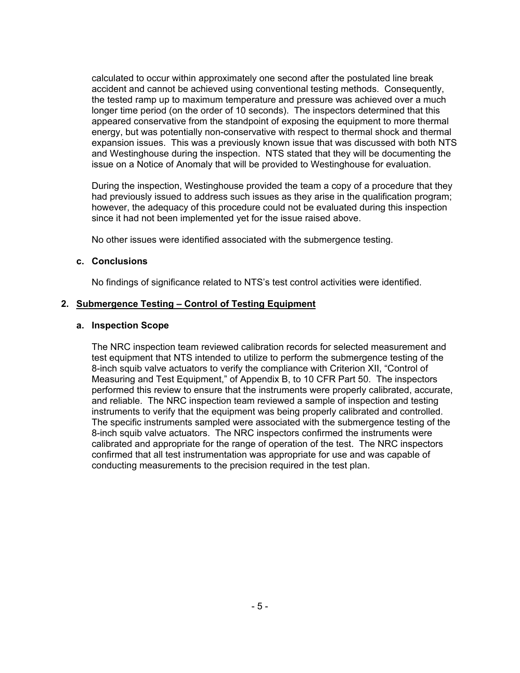calculated to occur within approximately one second after the postulated line break accident and cannot be achieved using conventional testing methods. Consequently, the tested ramp up to maximum temperature and pressure was achieved over a much longer time period (on the order of 10 seconds). The inspectors determined that this appeared conservative from the standpoint of exposing the equipment to more thermal energy, but was potentially non-conservative with respect to thermal shock and thermal expansion issues. This was a previously known issue that was discussed with both NTS and Westinghouse during the inspection. NTS stated that they will be documenting the issue on a Notice of Anomaly that will be provided to Westinghouse for evaluation.

During the inspection, Westinghouse provided the team a copy of a procedure that they had previously issued to address such issues as they arise in the qualification program; however, the adequacy of this procedure could not be evaluated during this inspection since it had not been implemented yet for the issue raised above.

No other issues were identified associated with the submergence testing.

#### **c. Conclusions**

No findings of significance related to NTS's test control activities were identified.

### **2. Submergence Testing – Control of Testing Equipment**

#### **a. Inspection Scope**

The NRC inspection team reviewed calibration records for selected measurement and test equipment that NTS intended to utilize to perform the submergence testing of the 8-inch squib valve actuators to verify the compliance with Criterion XII, "Control of Measuring and Test Equipment," of Appendix B, to 10 CFR Part 50. The inspectors performed this review to ensure that the instruments were properly calibrated, accurate, and reliable. The NRC inspection team reviewed a sample of inspection and testing instruments to verify that the equipment was being properly calibrated and controlled. The specific instruments sampled were associated with the submergence testing of the 8-inch squib valve actuators. The NRC inspectors confirmed the instruments were calibrated and appropriate for the range of operation of the test. The NRC inspectors confirmed that all test instrumentation was appropriate for use and was capable of conducting measurements to the precision required in the test plan.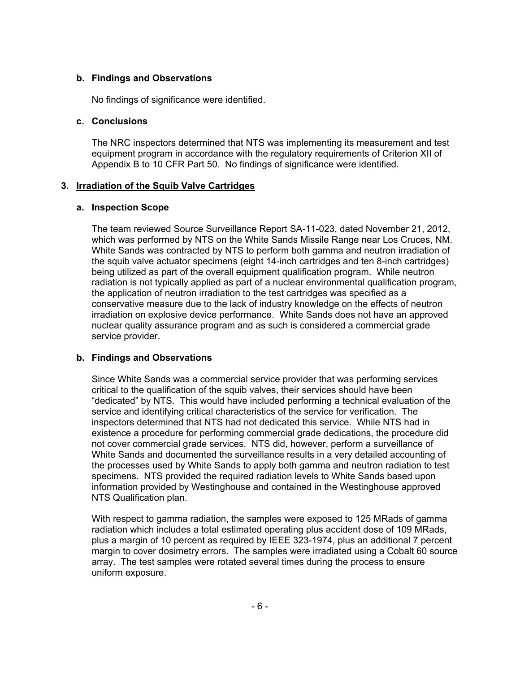### **b. Findings and Observations**

No findings of significance were identified.

#### **c. Conclusions**

The NRC inspectors determined that NTS was implementing its measurement and test equipment program in accordance with the regulatory requirements of Criterion XII of Appendix B to 10 CFR Part 50. No findings of significance were identified.

### **3. Irradiation of the Squib Valve Cartridges**

#### **a. Inspection Scope**

The team reviewed Source Surveillance Report SA-11-023, dated November 21, 2012, which was performed by NTS on the White Sands Missile Range near Los Cruces, NM. White Sands was contracted by NTS to perform both gamma and neutron irradiation of the squib valve actuator specimens (eight 14-inch cartridges and ten 8-inch cartridges) being utilized as part of the overall equipment qualification program. While neutron radiation is not typically applied as part of a nuclear environmental qualification program, the application of neutron irradiation to the test cartridges was specified as a conservative measure due to the lack of industry knowledge on the effects of neutron irradiation on explosive device performance. White Sands does not have an approved nuclear quality assurance program and as such is considered a commercial grade service provider.

### **b. Findings and Observations**

Since White Sands was a commercial service provider that was performing services critical to the qualification of the squib valves, their services should have been "dedicated" by NTS. This would have included performing a technical evaluation of the service and identifying critical characteristics of the service for verification. The inspectors determined that NTS had not dedicated this service. While NTS had in existence a procedure for performing commercial grade dedications, the procedure did not cover commercial grade services. NTS did, however, perform a surveillance of White Sands and documented the surveillance results in a very detailed accounting of the processes used by White Sands to apply both gamma and neutron radiation to test specimens. NTS provided the required radiation levels to White Sands based upon information provided by Westinghouse and contained in the Westinghouse approved NTS Qualification plan.

With respect to gamma radiation, the samples were exposed to 125 MRads of gamma radiation which includes a total estimated operating plus accident dose of 109 MRads, plus a margin of 10 percent as required by IEEE 323-1974, plus an additional 7 percent margin to cover dosimetry errors. The samples were irradiated using a Cobalt 60 source array. The test samples were rotated several times during the process to ensure uniform exposure.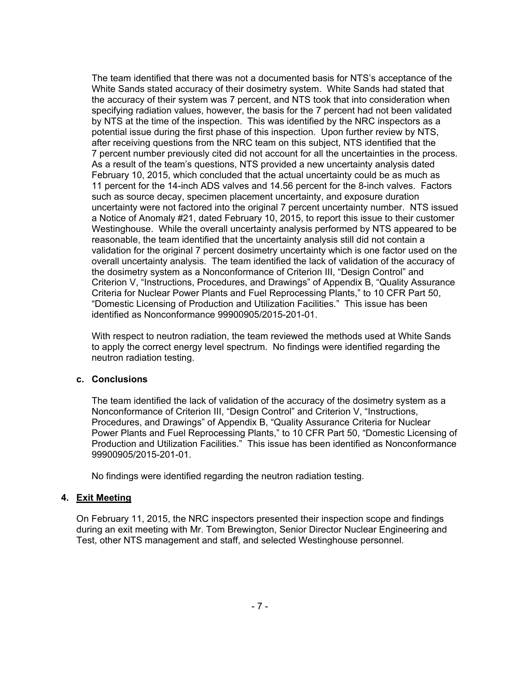The team identified that there was not a documented basis for NTS's acceptance of the White Sands stated accuracy of their dosimetry system. White Sands had stated that the accuracy of their system was 7 percent, and NTS took that into consideration when specifying radiation values, however, the basis for the 7 percent had not been validated by NTS at the time of the inspection. This was identified by the NRC inspectors as a potential issue during the first phase of this inspection. Upon further review by NTS, after receiving questions from the NRC team on this subject, NTS identified that the 7 percent number previously cited did not account for all the uncertainties in the process. As a result of the team's questions, NTS provided a new uncertainty analysis dated February 10, 2015, which concluded that the actual uncertainty could be as much as 11 percent for the 14-inch ADS valves and 14.56 percent for the 8-inch valves. Factors such as source decay, specimen placement uncertainty, and exposure duration uncertainty were not factored into the original 7 percent uncertainty number. NTS issued a Notice of Anomaly #21, dated February 10, 2015, to report this issue to their customer Westinghouse. While the overall uncertainty analysis performed by NTS appeared to be reasonable, the team identified that the uncertainty analysis still did not contain a validation for the original 7 percent dosimetry uncertainty which is one factor used on the overall uncertainty analysis. The team identified the lack of validation of the accuracy of the dosimetry system as a Nonconformance of Criterion III, "Design Control" and Criterion V, "Instructions, Procedures, and Drawings" of Appendix B, "Quality Assurance Criteria for Nuclear Power Plants and Fuel Reprocessing Plants," to 10 CFR Part 50, "Domestic Licensing of Production and Utilization Facilities." This issue has been identified as Nonconformance 99900905/2015-201-01.

With respect to neutron radiation, the team reviewed the methods used at White Sands to apply the correct energy level spectrum. No findings were identified regarding the neutron radiation testing.

#### **c. Conclusions**

The team identified the lack of validation of the accuracy of the dosimetry system as a Nonconformance of Criterion III, "Design Control" and Criterion V, "Instructions, Procedures, and Drawings" of Appendix B, "Quality Assurance Criteria for Nuclear Power Plants and Fuel Reprocessing Plants," to 10 CFR Part 50, "Domestic Licensing of Production and Utilization Facilities." This issue has been identified as Nonconformance 99900905/2015-201-01.

No findings were identified regarding the neutron radiation testing.

### **4. Exit Meeting**

On February 11, 2015, the NRC inspectors presented their inspection scope and findings during an exit meeting with Mr. Tom Brewington, Senior Director Nuclear Engineering and Test, other NTS management and staff, and selected Westinghouse personnel.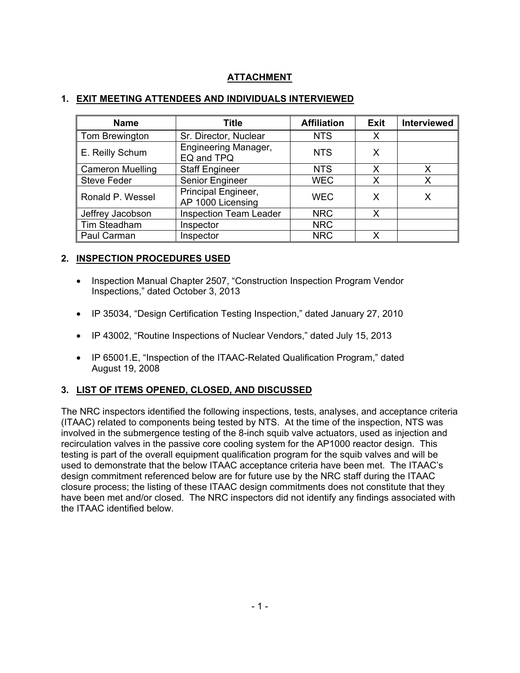# **ATTACHMENT**

| <b>Name</b>             | <b>Title</b>                              | <b>Affiliation</b> | <b>Exit</b> | <b>Interviewed</b> |
|-------------------------|-------------------------------------------|--------------------|-------------|--------------------|
| Tom Brewington          | Sr. Director, Nuclear                     | <b>NTS</b>         | X           |                    |
| E. Reilly Schum         | <b>Engineering Manager,</b><br>EQ and TPQ | <b>NTS</b>         | X           |                    |
| <b>Cameron Muelling</b> | <b>Staff Engineer</b>                     | <b>NTS</b>         | x           | x                  |
| <b>Steve Feder</b>      | Senior Engineer                           | <b>WEC</b>         | Χ           | Х                  |
| Ronald P. Wessel        | Principal Engineer,<br>AP 1000 Licensing  | <b>WEC</b>         | х           |                    |
| Jeffrey Jacobson        | <b>Inspection Team Leader</b>             | <b>NRC</b>         | X           |                    |
| Tim Steadham            | Inspector                                 | <b>NRC</b>         |             |                    |
| Paul Carman             | Inspector                                 | <b>NRC</b>         | x           |                    |

### **1. EXIT MEETING ATTENDEES AND INDIVIDUALS INTERVIEWED**

## **2. INSPECTION PROCEDURES USED**

- Inspection Manual Chapter 2507, "Construction Inspection Program Vendor Inspections," dated October 3, 2013
- IP 35034, "Design Certification Testing Inspection," dated January 27, 2010
- IP 43002, "Routine Inspections of Nuclear Vendors," dated July 15, 2013
- IP 65001.E, "Inspection of the ITAAC-Related Qualification Program," dated August 19, 2008

## **3. LIST OF ITEMS OPENED, CLOSED, AND DISCUSSED**

The NRC inspectors identified the following inspections, tests, analyses, and acceptance criteria (ITAAC) related to components being tested by NTS. At the time of the inspection, NTS was involved in the submergence testing of the 8-inch squib valve actuators, used as injection and recirculation valves in the passive core cooling system for the AP1000 reactor design. This testing is part of the overall equipment qualification program for the squib valves and will be used to demonstrate that the below ITAAC acceptance criteria have been met. The ITAAC's design commitment referenced below are for future use by the NRC staff during the ITAAC closure process; the listing of these ITAAC design commitments does not constitute that they have been met and/or closed. The NRC inspectors did not identify any findings associated with the ITAAC identified below.